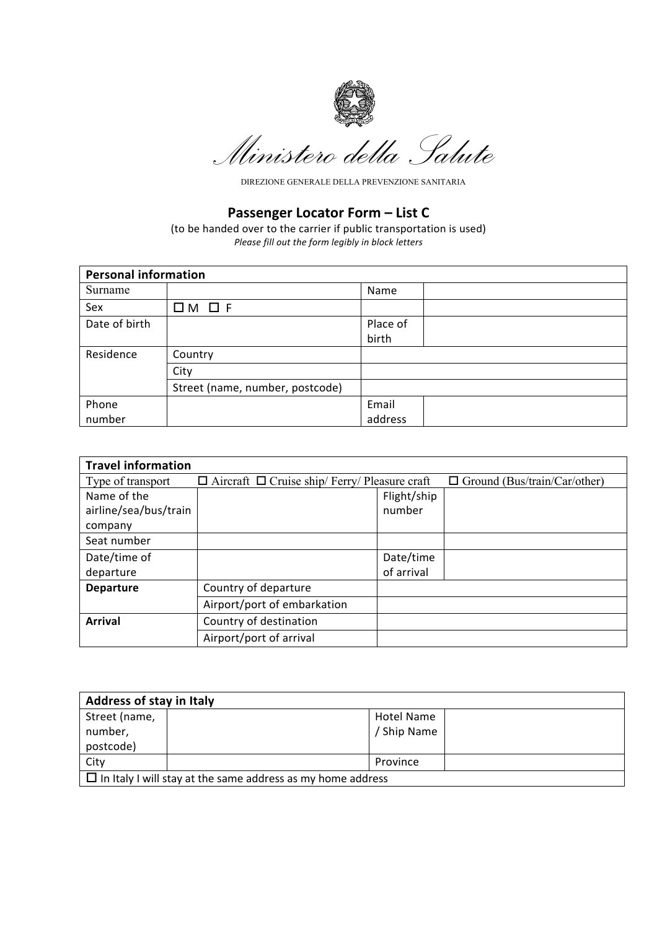

Ministero della Salute

DIREZIONE GENERALE DELLA PREVENZIONE SANITARIA

## **Passenger Locator Form – List C**

(to be handed over to the carrier if public transportation is used) *Please fill out the form legibly in block letters*

| <b>Personal information</b> |                                 |          |  |  |
|-----------------------------|---------------------------------|----------|--|--|
| Surname                     |                                 | Name     |  |  |
| Sex                         | $DM$ $D$ F                      |          |  |  |
| Date of birth               |                                 | Place of |  |  |
|                             |                                 | birth    |  |  |
| Residence                   | Country                         |          |  |  |
|                             | City                            |          |  |  |
|                             | Street (name, number, postcode) |          |  |  |
| Phone                       |                                 | Email    |  |  |
| number                      |                                 | address  |  |  |

| <b>Travel information</b> |                                                           |             |                                     |  |  |  |  |
|---------------------------|-----------------------------------------------------------|-------------|-------------------------------------|--|--|--|--|
| Type of transport         | $\Box$ Aircraft $\Box$ Cruise ship/ Ferry/ Pleasure craft |             | $\Box$ Ground (Bus/train/Car/other) |  |  |  |  |
| Name of the               |                                                           | Flight/ship |                                     |  |  |  |  |
| airline/sea/bus/train     |                                                           | number      |                                     |  |  |  |  |
| company                   |                                                           |             |                                     |  |  |  |  |
| Seat number               |                                                           |             |                                     |  |  |  |  |
| Date/time of              |                                                           | Date/time   |                                     |  |  |  |  |
| departure                 |                                                           | of arrival  |                                     |  |  |  |  |
| <b>Departure</b>          | Country of departure                                      |             |                                     |  |  |  |  |
|                           | Airport/port of embarkation                               |             |                                     |  |  |  |  |
| <b>Arrival</b>            | Country of destination                                    |             |                                     |  |  |  |  |
|                           | Airport/port of arrival                                   |             |                                     |  |  |  |  |

| <b>Address of stay in Italy</b>                                    |  |             |  |  |
|--------------------------------------------------------------------|--|-------------|--|--|
| Street (name,                                                      |  | Hotel Name  |  |  |
| number,                                                            |  | / Ship Name |  |  |
| postcode)                                                          |  |             |  |  |
| City                                                               |  | Province    |  |  |
| $\Box$ In Italy I will stay at the same address as my home address |  |             |  |  |